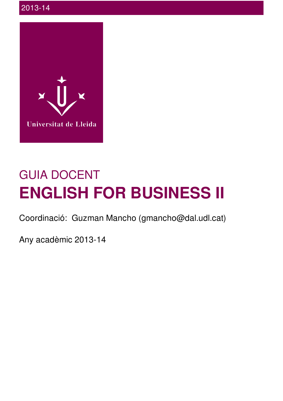

# GUIA DOCENT **ENGLISH FOR BUSINESS II**

Coordinació: Guzman Mancho (gmancho@dal.udl.cat)

Any acadèmic 2013-14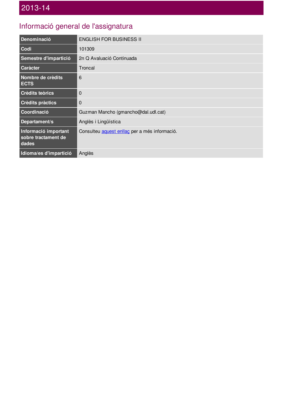## Informació general de l'assignatura

| Denominació                                          | <b>ENGLISH FOR BUSINESS II</b>                |
|------------------------------------------------------|-----------------------------------------------|
| Codi                                                 | 101309                                        |
| Semestre d'impartició                                | 2n Q Avaluació Continuada                     |
| <b>Caràcter</b>                                      | Troncal                                       |
| Nombre de crèdits<br><b>ECTS</b>                     | 6                                             |
| <b>Crèdits teòrics</b>                               | $\Omega$                                      |
| <b>Crèdits pràctics</b>                              | $\overline{0}$                                |
| Coordinació                                          | Guzman Mancho (gmancho@dal.udl.cat)           |
| Departament/s                                        | Anglès i Lingüística                          |
| Informació important<br>sobre tractament de<br>dades | Consulteu aquest enllaç per a més informació. |
| Idioma/es d'impartició                               | Anglès                                        |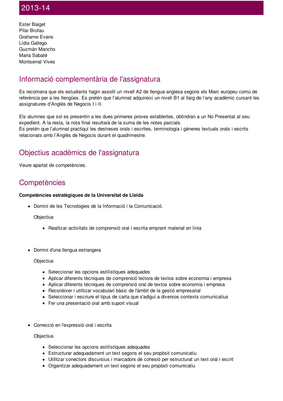Ester Baiget Pilar Brufau Grahame Evans Lídia Gallego Guzmán Mancho Maria Sabaté Montserrat Vives

## Informació complementària de l'assignatura

Es recomana que els estudiants hagin assolit un nivell A2 de llengua anglesa segons els Marc europeu comú de referència per a les llengües. Es pretén que l'alumnat adquireixi un nivell B1 al llarg de l'any acadèmic cursant les assignatures d'Anglès de Negocis I i II.

Els alumnes que sol es presentin a les dues primeres proves establertes, obtindran a un No Presentat al seu expedient. A la resta, la nota final resultarà de la suma de les notes parcials. Es pretén que l'alumnat practiqui les destreses orals i escrites, terminologia i gèneres textuals orals i escrits relacionats amb l'Anglès de Negocis durant el quadrimestre.

## Objectius acadèmics de l'assignatura

Veure apartat de competències.

## **Competències**

#### **Competències estratègiques de la Universitat de Lleida**

Domini de les Tecnologies de la Informació i la Comunicació.

**Objectius** 

- Realitzar activitats de comprensió oral i escrita emprant material en línia
- Domini d'una llengua estrangera

**Objectius** 

- Seleccionar les opcions estilístiques adequades
- Aplicar diferents tècniques de comprensió lectora de textos sobre economia i empresa
- Aplicar diferents tècniques de comprensió oral de textos sobre economia i empresa
- Reconèixer i utilitzar vocabulari bàsic de l'àmbit de la gestió empresarial
- Seleccionar i escriure el tipus de carta que s'adigui a diversos contexts comunicatius
- Fer una presentació oral amb suport visual
- Correcció en l'expressió oral i escrita

**Objectius** 

- Seleccionar les opcions estilístiques adequades
- Estructurar adequadament un text segons el seu propòsit comunicatiu
- Utilitzar conectors discursius i marcadors de cohesió per estructurat un text oral i escrit
- Organitzar adequadament un text segons el seu propòsti comunicatiu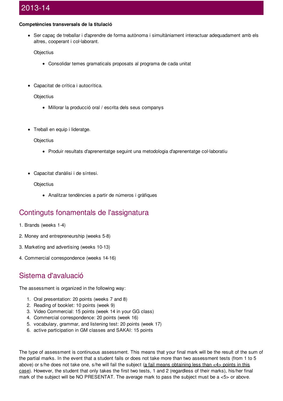#### **Competències transversals de la titulació**

Ser capaç de treballar i d'aprendre de forma autònoma i simultàniament interactuar adequadament amb els altres, cooperant i col·laborant.

**Objectius** 

- Consolidar temes gramaticals proposats al programa de cada unitat
- Capacitat de crítica i autocrítica.

**Objectius** 

- Millorar la producció oral / escrita dels seus companys
- Treball en equip i lideratge.

**Objectius** 

- Produir resultats d'aprenentatge seguint una metodologia d'aprenentatge col·laboratiu
- Capacitat d'anàlisi i de síntesi.

**Objectius** 

Analitzar tendències a partir de números i gràfiques

#### Continguts fonamentals de l'assignatura

- 1. Brands (weeks 1-4)
- 2. Money and entrepreneurship (weeks 5-8)
- 3. Marketing and advertising (weeks 10-13)
- 4. Commercial correspondence (weeks 14-16)

#### Sistema d'avaluació

The assessment is organized in the following way:

- 1. Oral presentation: 20 points (weeks 7 and 8)
- 2. Reading of booklet: 10 points (week 9)
- 3. Video Commercial: 15 points (week 14 in your GG class)
- 4. Commercial correspondence: 20 points (week 16)
- 5. vocabulary, grammar, and listening test: 20 points (week 17)
- 6. active participation in GM classes and SAKAI: 15 points

The type of assessment is continuous assessment. This means that your final mark will be the result of the sum of the partial marks. In the event that a student fails or does not take more than two assessment tests (from 1 to 5 above) or s/he does not take one, s/he will fail the subject (a fail means obtaining less than  $\lt 4$  points in this case). However, the student that only takes the first two tests, 1 and 2 (regardless of their marks), his/her final mark of the subject will be NO PRESENTAT. The average mark to pass the subject must be a <5> or above.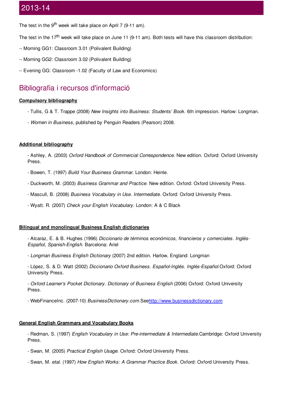The test in the 9<sup>th</sup> week will take place on April 7 (9-11 am).

The test in the 17<sup>th</sup> week will take place on June 11 (9-11 am). Both tests will have this classroom distribution:

- -- Morning GG1: Classroom 3.01 (Polivalent Building)
- -- Morning GG2: Classroom 3.02 (Polivalent Building)
- -- Evening GG: Classroom -1.02 (Faculty of Law and Economics)

#### Bibliografia i recursos d'informació

#### **Compulsory bibliography**

- Tullis, G & T. Trappe (2008) *New Insights into Business: Students' Book*. 6th impression. Harlow: Longman.
- *Women in Business*, published by Penguin Readers (Pearson) 2008.

#### **Additional bibliography**

- Ashley, A. (2003) *Oxford Handbook of Commercial Correspondence.* New edition. Oxford: Oxford University Press.

- Bowen, T. (1997) *Build Your Business Grammar.* London: Heinle.
- Duckworth, M. (2003) *Business Grammar and Practice.* New edition. Oxford: Oxford University Press.
- Mascull, B. (2008) *Business Vocabulary in Use. Intermediate*. Oxford: Oxford University Press.
- Wyatt. R. (2007) *Check your English Vocabulary.* London: A & C Black

#### **Bilingual and monolingual Business English dictionaries**

- Alcaraz, E. & B. Hughes (1996) *Diccionario de términos económicos, financieros y comerciales. Inglés-Español, Spanish-English*. Barcelona: Ariel

- *Longman Business English Dictionary* (2007) 2nd edition. Harlow, England: Longman
- López, S. & D. Watt (2002) *Diccionario Oxford Business. Español-Inglés. Inglés-Español.*Oxford: Oxford University Press.
- *Oxford Learner's Pocket Dictionary. Dictionary of Business English* (2006) Oxford: Oxford University Press.

- WebFinanceInc. (2007-10) *BusinessDictionary.com.*Se[ehttp://www.businessdictionary.com](http://www.businessdictionary.com/)

#### **General English Grammars and Vocabulary Books**

- Redman, S. (1997) *English Vocabulary in Use: Pre-intermediate & Intermediate.*Cambridge: Oxford University Press.

- Swan, M. (2005) *Practical English Usage.* Oxford: Oxford University Press.
- Swan, M. *etal.* (1997) *How English Works: A Grammar Practice Book.* Oxford: Oxford University Press.